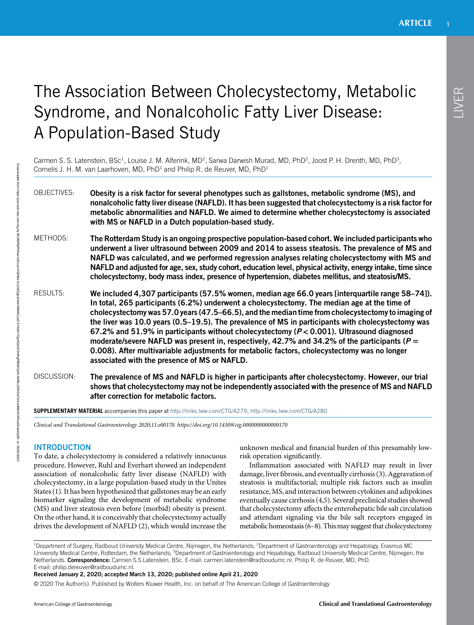# The Association Between Cholecystectomy, Metabolic Syndrome, and Nonalcoholic Fatty Liver Disease: A Population-Based Study

Carmen S. S. Latenstein, BSc<sup>1</sup>, Louise J. M. Alferink, MD<sup>2</sup>, Sarwa Darwish Murad, MD, PhD<sup>2</sup>, Joost P. H. Drenth, MD, PhD<sup>3</sup>, Cornelis J. H. M. van Laarhoven, MD, PhD<sup>1</sup> and Philip R. de Reuver, MD, PhD<sup>1</sup>

OBJECTIVES: Obesity is a risk factor for several phenotypes such as gallstones, metabolic syndrome (MS), and nonalcoholic fatty liver disease (NAFLD). It has been suggested that cholecystectomy is a risk factor for metabolic abnormalities and NAFLD. We aimed to determine whether cholecystectomy is associated with MS or NAFLD in a Dutch population-based study.

METHODS: The Rotterdam Study is an ongoing prospective population-based cohort. We included participants who underwent a liver ultrasound between 2009 and 2014 to assess steatosis. The prevalence of MS and NAFLD was calculated, and we performed regression analyses relating cholecystectomy with MS and NAFLD and adjusted for age, sex, study cohort, education level, physical activity, energy intake, time since cholecystectomy, body mass index, presence of hypertension, diabetes mellitus, and steatosis/MS.

RESULTS: We included 4,307 participants (57.5% women, median age 66.0 years [interquartile range 58–74]). In total, 265 participants (6.2%) underwent a cholecystectomy. The median age at the time of cholecystectomy was 57.0 years (47.5–66.5), and the median time from cholecystectomy to imaging of the liver was 10.0 years (0.5–19.5). The prevalence of MS in participants with cholecystectomy was 67.2% and 51.9% in participants without cholecystectomy ( $P < 0.001$ ). Ultrasound diagnosed moderate/severe NAFLD was present in, respectively, 42.7% and 34.2% of the participants ( $P =$ 0.008). After multivariable adjustments for metabolic factors, cholecystectomy was no longer associated with the presence of MS or NAFLD.

DISCUSSION: The prevalence of MS and NAFLD is higher in participants after cholecystectomy. However, our trial shows that cholecystectomy may not be independently associated with the presence of MS and NAFLD after correction for metabolic factors.

SUPPLEMENTARY MATERIAL accompanies this paper at [http://links.lww.com/CTG/A279,](http://links.lww.com/CTG/A279) <http://links.lww.com/CTG/A280>

Clinical and Translational Gastroenterology 2020;11:e00170.<https://doi.org/10.14309/ctg.0000000000000170>

# **INTRODUCTION**

To date, a cholecystectomy is considered a relatively innocuous procedure. However, Ruhl and Everhart showed an independent association of nonalcoholic fatty liver disease (NAFLD) with cholecystectomy, in a large population-based study in the Unites States (1). It has been hypothesized that gallstones may be an early biomarker signaling the development of metabolic syndrome (MS) and liver steatosis even before (morbid) obesity is present. On the other hand, it is conceivably that cholecystectomy actually drives the development of NAFLD (2), which would increase the unknown medical and financial burden of this presumably lowrisk operation significantly.

Inflammation associated with NAFLD may result in liver damage, liver fibrosis, and eventually cirrhosis (3). Aggravation of steatosis is multifactorial; multiple risk factors such as insulin resistance, MS, and interaction between cytokines and adipokines eventually cause cirrhosis (4,5). Several preclinical studies showed that cholecystectomy affects the enterohepatic bile salt circulation and attendant signaling via the bile salt receptors engaged in metabolic homeostasis (6–8). This may suggest that cholecystectomy

<sup>1</sup>Department of Surgery, Radboud University Medical Centre, Nijmegen, the Netherlands; <sup>2</sup>Department of Gastroenterology and Hepatology, Erasmus MC University Medical Centre, Rotterdam, the Netherlands; <sup>3</sup>Department of Gastroenterology and Hepatology, Radboud University Medical Centre, Nijmegen, the Netherlands. Correspondence: Carmen S.S.Latenstein, BSc. E-mail: [carmen.latenstein@radboudumc.nl.](mailto:carmen.latenstein@radboudumc.nl) Philip R. de Reuver, MD, PhD. E-mail: [philip.dereuver@radboudumc.nl.](mailto:philip.dereuver@radboudumc.nl)

Received January 2, 2020; accepted March 13, 2020; published online April 21, 2020

© 2020 The Author(s). Published by Wolters Kluwer Health, Inc. on behalf of The American College of Gastroenterology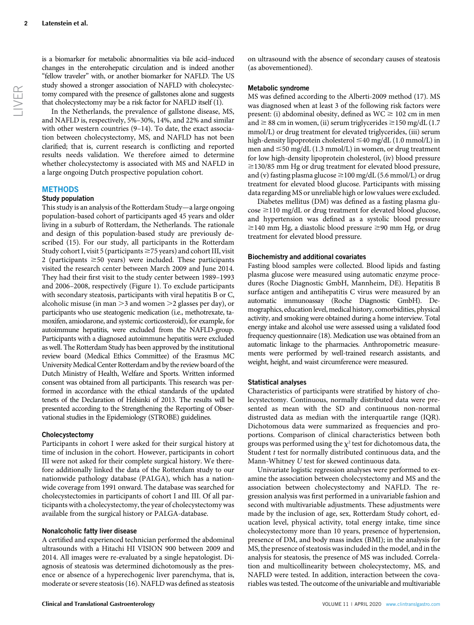In the Netherlands, the prevalence of gallstone disease, MS, and NAFLD is, respectively, 5%–30%, 14%, and 22% and similar with other western countries (9–14). To date, the exact association between cholecystectomy, MS, and NAFLD has not been clarified; that is, current research is conflicting and reported results needs validation. We therefore aimed to determine whether cholecystectomy is associated with MS and NAFLD in a large ongoing Dutch prospective population cohort.

# **METHODS**

#### Study population

This study is an analysis of the Rotterdam Study—a large ongoing population-based cohort of participants aged 45 years and older living in a suburb of Rotterdam, the Netherlands. The rationale and design of this population-based study are previously described (15). For our study, all participants in the Rotterdam Study cohort I, visit 5 (participants  $\geq$  75 years) and cohort III, visit 2 (participants  $\geq 50$  years) were included. These participants visited the research center between March 2009 and June 2014. They had their first visit to the study center between 1989–1993 and 2006–2008, respectively (Figure 1). To exclude participants with secondary steatosis, participants with viral hepatitis B or C, alcoholic misuse (in man  $>$  3 and women  $>$  2 glasses per day), or participants who use steatogenic medication (i.e., methotrexate, tamoxifen, amiodarone, and systemic corticosteroid), for example, for autoimmune hepatitis, were excluded from the NAFLD-group. Participants with a diagnosed autoimmune hepatitis were excluded as well. The Rotterdam Study has been approved by the institutional review board (Medical Ethics Committee) of the Erasmus MC University Medical Center Rotterdam and by the review board of the Dutch Ministry of Health, Welfare and Sports. Written informed consent was obtained from all participants. This research was performed in accordance with the ethical standards of the updated tenets of the Declaration of Helsinki of 2013. The results will be presented according to the Strengthening the Reporting of Observational studies in the Epidemiology (STROBE) guidelines.

# Cholecystectomy

Participants in cohort I were asked for their surgical history at time of inclusion in the cohort. However, participants in cohort III were not asked for their complete surgical history. We therefore additionally linked the data of the Rotterdam study to our nationwide pathology database (PALGA), which has a nationwide coverage from 1991 onward. The database was searched for cholecystectomies in participants of cohort I and III. Of all participants with a cholecystectomy, the year of cholecystectomy was available from the surgical history or PALGA-database.

# Nonalcoholic fatty liver disease

A certified and experienced technician performed the abdominal ultrasounds with a Hitachi HI VISION 900 between 2009 and 2014. All images were re-evaluated by a single hepatologist. Diagnosis of steatosis was determined dichotomously as the presence or absence of a hyperechogenic liver parenchyma, that is, moderate or severe steatosis (16). NAFLD was defined as steatosis on ultrasound with the absence of secondary causes of steatosis (as abovementioned).

# Metabolic syndrome

MS was defined according to the Alberti-2009 method (17). MS was diagnosed when at least 3 of the following risk factors were present: (i) abdominal obesity, defined as  $WC \ge 102$  cm in men and  $\geq$  88 cm in women, (ii) serum triglycerides  $\geq$  150 mg/dL (1.7) mmol/L) or drug treatment for elevated triglycerides, (iii) serum high-density lipoprotein cholesterol  $\leq$ 40 mg/dL (1.0 mmol/L) in men and  $\leq 50$  mg/dL (1.3 mmol/L) in women, or drug treatment for low high-density lipoprotein cholesterol, (iv) blood pressure  $\ge$ 130/85 mm Hg or drug treatment for elevated blood pressure, and (v) fasting plasma glucose  $\geq$  100 mg/dL (5.6 mmol/L) or drug treatment for elevated blood glucose. Participants with missing data regarding MS or unreliable high or low values were excluded.

Diabetes mellitus (DM) was defined as a fasting plasma glu- $\cos\epsilon \ge 110$  mg/dL or drug treatment for elevated blood glucose, and hypertension was defined as a systolic blood pressure  $\ge$ 140 mm Hg, a diastolic blood pressure  $\ge$ 90 mm Hg, or drug treatment for elevated blood pressure.

#### Biochemistry and additional covariates

Fasting blood samples were collected. Blood lipids and fasting plasma glucose were measured using automatic enzyme procedures (Roche Diagnostic GmbH, Mannheim, DE). Hepatitis B surface antigen and antihepatitis C virus were measured by an automatic immunoassay (Roche Diagnostic GmbH). Demographics, education level, medical history, comorbidities, physical activity, and smoking were obtained during a home interview. Total energy intake and alcohol use were assessed using a validated food frequency questionnaire (18). Medication use was obtained from an automatic linkage to the pharmacies. Anthropometric measurements were performed by well-trained research assistants, and weight, height, and waist circumference were measured.

# Statistical analyses

Characteristics of participants were stratified by history of cholecystectomy. Continuous, normally distributed data were presented as mean with the SD and continuous non-normal distrusted data as median with the interquartile range (IQR). Dichotomous data were summarized as frequencies and proportions. Comparison of clinical characteristics between both groups was performed using the  $\chi^2$  test for dichotomous data, the Student  $t$  test for normally distributed continuous data, and the Mann-Whitney U test for skewed continuous data.

Univariate logistic regression analyses were performed to examine the association between cholecystectomy and MS and the association between cholecystectomy and NAFLD. The regression analysis was first performed in a univariable fashion and second with multivariable adjustments. These adjustments were made by the inclusion of age, sex, Rotterdam Study cohort, education level, physical activity, total energy intake, time since cholecystectomy more than 10 years, presence of hypertension, presence of DM, and body mass index (BMI); in the analysis for MS, the presence of steatosis was included in the model, and in the analysis for steatosis, the presence of MS was included. Correlation and multicollinearity between cholecystectomy, MS, and NAFLD were tested. In addition, interaction between the covariables was tested. The outcome of the univariable and multivariable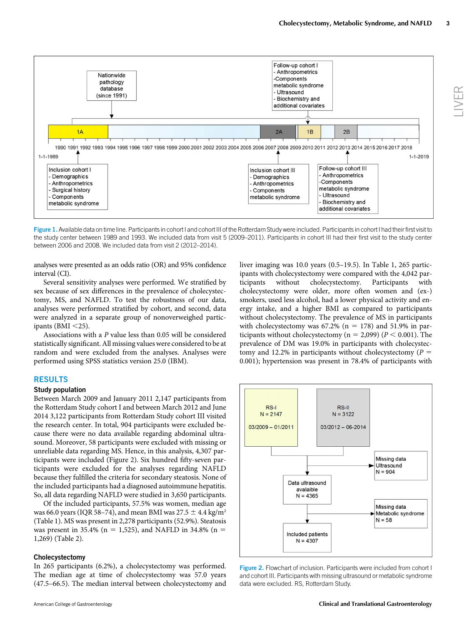

Figure 1. Available data on time line. Participants in cohort I and cohort III of the Rotterdam Study were included. Participants in cohort I had their first visit to the study center between 1989 and 1993. We included data from visit 5 (2009–2011). Participants in cohort III had their first visit to the study center between 2006 and 2008. We included data from visit 2 (2012–2014).

analyses were presented as an odds ratio (OR) and 95% confidence interval (CI).

Several sensitivity analyses were performed. We stratified by sex because of sex differences in the prevalence of cholecystectomy, MS, and NAFLD. To test the robustness of our data, analyses were performed stratified by cohort, and second, data were analyzed in a separate group of nonoverweighed participants (BMI  $<$ 25).

Associations with a P value less than 0.05 will be considered statistically significant. All missing values were considered to be at random and were excluded from the analyses. Analyses were performed using SPSS statistics version 25.0 (IBM).

# RESULTS

#### Study population

Between March 2009 and January 2011 2,147 participants from the Rotterdam Study cohort I and between March 2012 and June 2014 3,122 participants from Rotterdam Study cohort III visited the research center. In total, 904 participants were excluded because there were no data available regarding abdominal ultrasound. Moreover, 58 participants were excluded with missing or unreliable data regarding MS. Hence, in this analysis, 4,307 participants were included (Figure 2). Six hundred fifty-seven participants were excluded for the analyses regarding NAFLD because they fulfilled the criteria for secondary steatosis. None of the included participants had a diagnosed autoimmune hepatitis. So, all data regarding NAFLD were studied in 3,650 participants.

Of the included participants, 57.5% was women, median age was 66.0 years (IQR 58–74), and mean BMI was 27.5  $\pm$  4.4 kg/m<sup>2</sup> (Table 1). MS was present in 2,278 participants (52.9%). Steatosis was present in 35.4% (n = 1,525), and NAFLD in 34.8% (n = 1,269) (Table 2).

#### Cholecystectomy

In 265 participants (6.2%), a cholecystectomy was performed. The median age at time of cholecystectomy was 57.0 years (47.5–66.5). The median interval between cholecystectomy and liver imaging was 10.0 years (0.5–19.5). In Table 1, 265 participants with cholecystectomy were compared with the 4,042 participants without cholecystectomy. Participants with cholecystectomy were older, more often women and (ex-) smokers, used less alcohol, had a lower physical activity and energy intake, and a higher BMI as compared to participants without cholecystectomy. The prevalence of MS in participants with cholecystectomy was  $67.2\%$  (n = 178) and 51.9% in participants without cholecystectomy ( $n = 2,099$ ) ( $P < 0.001$ ). The prevalence of DM was 19.0% in participants with cholecystectomy and 12.2% in participants without cholecystectomy ( $P =$ 0.001); hypertension was present in 78.4% of participants with



Figure 2. Flowchart of inclusion. Participants were included from cohort I and cohort III. Participants with missing ultrasound or metabolic syndrome data were excluded. RS, Rotterdam Study.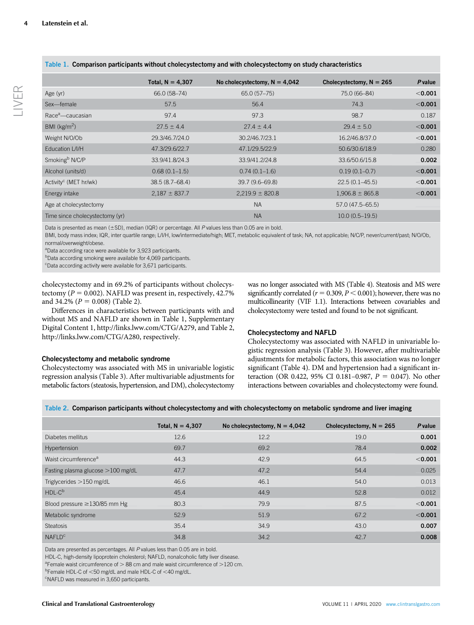|                                   | Total, $N = 4,307$ | No cholecystectomy, $N = 4,042$ | Cholecystectomy, $N = 265$ | P value   |
|-----------------------------------|--------------------|---------------------------------|----------------------------|-----------|
| Age (yr)                          | 66.0 (58-74)       | 65.0 (57-75)                    | 75.0 (66-84)               | $<$ 0.001 |
| Sex-female                        | 57.5               | 56.4                            | 74.3                       | < 0.001   |
| Race <sup>a</sup> —caucasian      | 97.4               | 97.3                            | 98.7                       | 0.187     |
| BMI ( $kg/m2$ )                   | $27.5 \pm 4.4$     | $27.4 \pm 4.4$                  | $29.4 \pm 5.0$             | < 0.001   |
| Weight N/O/Ob                     | 29.3/46.7/24.0     | 30.2/46.7/23.1                  | 16.2/46.8/37.0             | $<$ 0.001 |
| Education L/I/H                   | 47.3/29.6/22.7     | 47.1/29.5/22.9                  | 50.6/30.6/18.9             | 0.280     |
| Smoking <sup>b</sup> N/C/P        | 33.9/41.8/24.3     | 33.9/41.2/24.8                  | 33.6/50.6/15.8             | 0.002     |
| Alcohol (units/d)                 | $0.68(0.1-1.5)$    | $0.74(0.1-1.6)$                 | $0.19(0.1 - 0.7)$          | $<$ 0.001 |
| Activity <sup>c</sup> (MET hr/wk) | $38.5(8.7 - 68.4)$ | 39.7 (9.6–69.8)                 | $22.5(0.1 - 45.5)$         | $<$ 0.001 |
| Energy intake                     | $2,187 \pm 837.7$  | $2,219.9 \pm 820.8$             | $1,906.8 \pm 865.8$        | < 0.001   |
| Age at cholecystectomy            |                    | <b>NA</b>                       | 57.0 (47.5–65.5)           |           |
| Time since cholecystectomy (yr)   |                    | <b>NA</b>                       | $10.0(0.5-19.5)$           |           |

Table 1. Comparison participants without cholecystectomy and with cholecystectomy on study characteristics

Data is presented as mean ( $\pm$ SD), median (IQR) or percentage. All P values less than 0.05 are in bold.

BMI, body mass index; IQR, inter quartile range; L/I/H, low/intermediate/high; MET, metabolic equivalent of task; NA, not applicable; N/C/P, never/current/past; N/O/Ob, normal/overweight/obese.

<sup>a</sup>Data according race were available for 3,923 participants.

<sup>b</sup>Data according smoking were available for 4,069 participants.

c Data according activity were available for 3,671 participants.

cholecystectomy and in 69.2% of participants without cholecystectomy ( $P = 0.002$ ). NAFLD was present in, respectively, 42.7% and 34.2% ( $P = 0.008$ ) (Table 2).

Differences in characteristics between participants with and without MS and NAFLD are shown in Table 1, Supplementary Digital Content 1, [http://links.lww.com/CTG/A279,](http://links.lww.com/CTG/A279) and Table 2, [http://links.lww.com/CTG/A280,](http://links.lww.com/CTG/A280) respectively.

# Cholecystectomy and metabolic syndrome

Cholecystectomy was associated with MS in univariable logistic regression analysis (Table 3). After multivariable adjustments for metabolic factors (steatosis, hypertension, and DM), cholecystectomy was no longer associated with MS (Table 4). Steatosis and MS were significantly correlated ( $r = 0.309, P < 0.001$ ); however, there was no multicollinearity (VIF 1.1). Interactions between covariables and cholecystectomy were tested and found to be not significant.

# Cholecystectomy and NAFLD

Cholecystectomy was associated with NAFLD in univariable logistic regression analysis (Table 3). However, after multivariable adjustments for metabolic factors, this association was no longer significant (Table 4). DM and hypertension had a significant interaction (OR 0.422, 95% CI 0.181-0.987,  $P = 0.047$ ). No other interactions between covariables and cholecystectomy were found.

Table 2. Comparison participants without cholecystectomy and with cholecystectomy on metabolic syndrome and liver imaging

|                                    | Total, $N = 4,307$ | No cholecystectomy, $N = 4,042$ | Cholecystectomy, $N = 265$ | P value |
|------------------------------------|--------------------|---------------------------------|----------------------------|---------|
| Diabetes mellitus                  | 12.6               | 12.2                            | 19.0                       | 0.001   |
| Hypertension                       | 69.7               | 69.2                            | 78.4                       | 0.002   |
| Waist circumference <sup>a</sup>   | 44.3               | 42.9                            | 64.5                       | < 0.001 |
| Fasting plasma glucose >100 mg/dL  | 47.7               | 47.2                            | 54.4                       | 0.025   |
| Triglycerides $>150$ mg/dL         | 46.6               | 46.1                            | 54.0                       | 0.013   |
| $HDL-Cb$                           | 45.4               | 44.9                            | 52.8                       | 0.012   |
| Blood pressure $\geq$ 130/85 mm Hg | 80.3               | 79.9                            | 87.5                       | < 0.001 |
| Metabolic syndrome                 | 52.9               | 51.9                            | 67.2                       | < 0.001 |
| <b>Steatosis</b>                   | 35.4               | 34.9                            | 43.0                       | 0.007   |
| <b>NAFLD<sup>c</sup></b>           | 34.8               | 34.2                            | 42.7                       | 0.008   |

Data are presented as percentages. All P values less than 0.05 are in bold.

HDL-C, high-density lipoprotein cholesterol; NAFLD, nonalcoholic fatty liver disease.

<sup>a</sup> Female waist circumference of  $> 88$  cm and male waist circumference of  $>$  120 cm.

<sup>b</sup>Female HDL-C of <50 mg/dL and male HDL-C of <40 mg/dL.

<sup>c</sup>NAFLD was measured in 3,650 participants.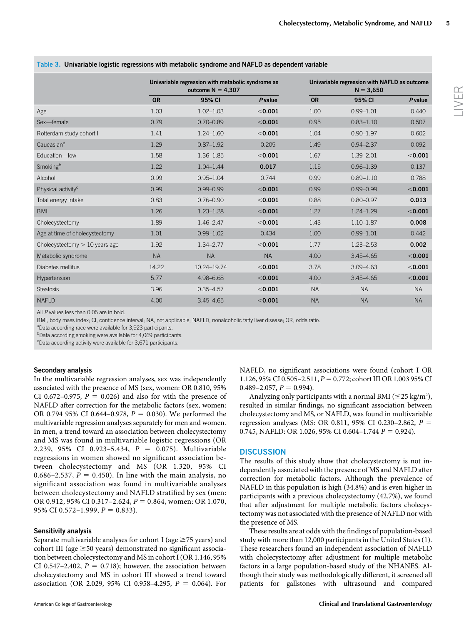# Univariable regression with metabolic syndrome as outcome  $N = 4,307$ Univariable regression with NAFLD as outcome  $N = 3,650$ OR 95% CI P value OR 95% CI P value Age 1.03 1.03 1.02–1.03 < **0.001** 1.00 0.99–1.01 0.440 Sex—female 0.79 0.70–0.89 ,0.001 0.95 0.83–1.10 0.507 Rotterdam study cohort 1 1.41 1.24–1.60  $\leq$  0.001 1.04 0.90–1.97 0.602  $Caucasian<sup>a</sup>$  0.97 0.92 0.87–1.92 0.205 1.49 0.94–2.37 0.092 Education—low 1.58 1.36–1.85 ,0.001 1.67 1.39–2.01 ,0.001 Smoking<sup>b</sup> 1.22 1.04–1.44 **0.017** 1.15 0.96–1.39 0.137 Alcohol 0.99 0.95–1.04 0.744 0.99 0.89–1.10 0.788 Physical activity<sup>c</sup> 0.99 0.99–0.99 ,0.001 0.99 0.99–0.99 ,0.001 Total energy intake  $0.83$   $0.76-0.90$   $< 0.001$  0.88 0.80-0.97 0.013 BMI 1.26 1.23–1.28 < **0.001** 1.27 1.24–1.29 < **0.001** Cholecystectomy **1.89** 1.46–2.47  $\leq$  **0.001** 1.43 1.10–1.87 **0.008** Age at time of cholecystectomy 1.01 0.99-1.02 0.434 1.00 0.99-1.01 0.442 Cholecystectomy  $> 10$  years ago  $1.92$   $1.34-2.77$   $< 0.001$   $1.77$   $1.23-2.53$  0.002 Metabolic syndrome **NA** NA NA NA NA 4.00 3.45–4.65 <0.001 Diabetes mellitus 14.22 10.24–19.74 ,0.001 3.78 3.09–4.63 ,0.001 Hypertension 5.77 4.98–6.68 < **0.001** 4.00 3.45–4.65 < **0.001** 4.00 < **3.45** Steatosis 3.96 0.35–4.57 ,0.001 NA NA NA NAFLD 4.00 3.45–4.65 ,0.001 NA NA NA

Table 3. Univariable logistic regressions with metabolic syndrome and NAFLD as dependent variable

All P values less than 0.05 are in bold.

BMI, body mass index; CI, confidence interval; NA, not applicable; NAFLD, nonalcoholic fatty liver disease; OR, odds ratio.

<sup>a</sup>Data according race were available for 3,923 participants.

<sup>b</sup>Data according smoking were available for 4,069 participants.

<sup>c</sup>Data according activity were available for 3,671 participants.

# Secondary analysis

In the multivariable regression analyses, sex was independently associated with the presence of MS (sex, women: OR 0.810, 95% CI 0.672-0.975,  $P = 0.026$ ) and also for with the presence of NAFLD after correction for the metabolic factors (sex, women: OR 0.794 95% CI 0.644–0.978,  $P = 0.030$ ). We performed the multivariable regression analyses separately for men and women. In men, a trend toward an association between cholecystectomy and MS was found in multivariable logistic regressions (OR 2.239, 95% CI 0.923-5.434,  $P = 0.075$ ). Multivariable regressions in women showed no significant association between cholecystectomy and MS (OR 1.320, 95% CI 0.686–2.537,  $P = 0.450$ . In line with the main analysis, no significant association was found in multivariable analyses between cholecystectomy and NAFLD stratified by sex (men: OR 0.912, 95% CI 0.317-2.624,  $P = 0.864$ , women: OR 1.070, 95% CI 0.572-1.999,  $P = 0.833$ ).

# Sensitivity analysis

Separate multivariable analyses for cohort I (age  ${\geq}75$  years) and cohort III (age  $\geq$  50 years) demonstrated no significant association between cholecystectomy and MS in cohort I (OR 1.146, 95% CI 0.547–2.402,  $P = 0.718$ ; however, the association between cholecystectomy and MS in cohort III showed a trend toward association (OR 2.029, 95% CI 0.958-4.295,  $P = 0.064$ ). For

NAFLD, no significant associations were found (cohort I OR 1.126, 95% CI 0.505–2.511,  $P = 0.772$ ; cohort III OR 1.003 95% CI  $0.489 - 2.057$ ,  $P = 0.994$ ).

Analyzing only participants with a normal BMI ( $\leq$ 25 kg/m<sup>2</sup>), resulted in similar findings, no significant association between cholecystectomy and MS, or NAFLD, was found in multivariable regression analyses (MS: OR 0.811, 95% CI 0.230–2.862,  $P =$ 0.745, NAFLD: OR 1.026, 95% CI 0.604-1.744  $P = 0.924$ ).

# **DISCUSSION**

The results of this study show that cholecystectomy is not independently associated with the presence of MS and NAFLD after correction for metabolic factors. Although the prevalence of NAFLD in this population is high (34.8%) and is even higher in participants with a previous cholecystectomy (42.7%), we found that after adjustment for multiple metabolic factors cholecystectomy was not associated with the presence of NAFLD nor with the presence of MS.

These results are at odds with the findings of population-based study with more than 12,000 participants in the United States (1). These researchers found an independent association of NAFLD with cholecystectomy after adjustment for multiple metabolic factors in a large population-based study of the NHANES. Although their study was methodologically different, it screened all patients for gallstones with ultrasound and compared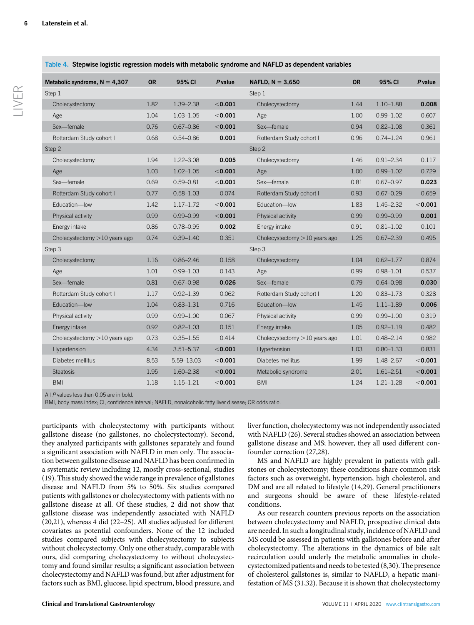LIVER

| Metabolic syndrome, $N = 4,307$ | <b>OR</b> | 95% CI        | P value   | NAFLD, $N = 3.650$              | <b>OR</b> | 95% CI        | P value |
|---------------------------------|-----------|---------------|-----------|---------------------------------|-----------|---------------|---------|
| Step 1                          |           |               |           | Step 1                          |           |               |         |
| Cholecystectomy                 | 1.82      | 1.39-2.38     | < 0.001   | Cholecystectomy                 | 1.44      | $1.10 - 1.88$ | 0.008   |
| Age                             | 1.04      | $1.03 - 1.05$ | < 0.001   | Age                             | 1.00      | $0.99 - 1.02$ | 0.607   |
| Sex-female                      | 0.76      | $0.67 - 0.86$ | < 0.001   | Sex-female                      | 0.94      | $0.82 - 1.08$ | 0.361   |
| Rotterdam Study cohort I        | 0.68      | $0.54 - 0.86$ | 0.001     | Rotterdam Study cohort I        | 0.96      | $0.74 - 1.24$ | 0.961   |
| Step 2                          |           |               |           | Step 2                          |           |               |         |
| Cholecystectomy                 | 1.94      | $1.22 - 3.08$ | 0.005     | Cholecystectomy                 | 1.46      | $0.91 - 2.34$ | 0.117   |
| Age                             | 1.03      | $1.02 - 1.05$ | $<$ 0.001 | Age                             | 1.00      | $0.99 - 1.02$ | 0.729   |
| Sex-female                      | 0.69      | $0.59 - 0.81$ | $<$ 0.001 | Sex-female                      | 0.81      | $0.67 - 0.97$ | 0.023   |
| Rotterdam Study cohort I        | 0.77      | $0.58 - 1.03$ | 0.074     | Rotterdam Study cohort I        | 0.93      | $0.67 - 0.29$ | 0.659   |
| Education-low                   | 1.42      | $1.17 - 1.72$ | $<$ 0.001 | Education-low                   | 1.83      | $1.45 - 2.32$ | < 0.001 |
| Physical activity               | 0.99      | $0.99 - 0.99$ | < 0.001   | Physical activity               | 0.99      | $0.99 - 0.99$ | 0.001   |
| Energy intake                   | 0.86      | $0.78 - 0.95$ | 0.002     | Energy intake                   | 0.91      | $0.81 - 1.02$ | 0.101   |
| Cholecystectomy $>10$ years ago | 0.74      | $0.39 - 1.40$ | 0.351     | Cholecystectomy $>10$ years ago | 1.25      | $0.67 - 2.39$ | 0.495   |
| Step 3                          |           |               |           | Step 3                          |           |               |         |
| Cholecystectomy                 | 1.16      | $0.86 - 2.46$ | 0.158     | Cholecystectomy                 | 1.04      | $0.62 - 1.77$ | 0.874   |
| Age                             | 1.01      | $0.99 - 1.03$ | 0.143     | Age                             | 0.99      | $0.98 - 1.01$ | 0.537   |
| Sex-female                      | 0.81      | $0.67 - 0.98$ | 0.026     | Sex-female                      | 0.79      | $0.64 - 0.98$ | 0.030   |
| Rotterdam Study cohort I        | 1.17      | $0.92 - 1.39$ | 0.062     | Rotterdam Study cohort I        | 1.20      | $0.83 - 1.73$ | 0.328   |
| Education-low                   | 1.04      | $0.83 - 1.31$ | 0.716     | Education-low                   | 1.45      | $1.11 - 1.89$ | 0.006   |
| Physical activity               | 0.99      | $0.99 - 1.00$ | 0.067     | Physical activity               | 0.99      | $0.99 - 1.00$ | 0.319   |
| Energy intake                   | 0.92      | $0.82 - 1.03$ | 0.151     | Energy intake                   | 1.05      | $0.92 - 1.19$ | 0.482   |
| Cholecystectomy $>10$ years ago | 0.73      | $0.35 - 1.55$ | 0.414     | Cholecystectomy $>10$ years ago | 1.01      | $0.48 - 2.14$ | 0.982   |
| Hypertension                    | 4.34      | $3.51 - 5.37$ | < 0.001   | Hypertension                    | 1.03      | $0.80 - 1.33$ | 0.831   |
| Diabetes mellitus               | 8.53      | 5.59-13.03    | $<$ 0.001 | Diabetes mellitus               | 1.99      | 1.48-2.67     | < 0.001 |
| <b>Steatosis</b>                | 1.95      | $1.60 - 2.38$ | < 0.001   | Metabolic syndrome              | 2.01      | $1.61 - 2.51$ | < 0.001 |
| <b>BMI</b>                      | 1.18      | $1.15 - 1.21$ | < 0.001   | <b>BMI</b>                      | 1.24      | $1.21 - 1.28$ | < 0.001 |

Table 4. Stepwise logistic regression models with metabolic syndrome and NAFLD as dependent variables

All P values less than 0.05 are in bold.

BMI, body mass index; CI, confidence interval; NAFLD, nonalcoholic fatty liver disease; OR odds ratio.

participants with cholecystectomy with participants without gallstone disease (no gallstones, no cholecystectomy). Second, they analyzed participants with gallstones separately and found a significant association with NAFLD in men only. The association between gallstone disease and NAFLD has been confirmed in a systematic review including 12, mostly cross-sectional, studies (19). This study showed the wide range in prevalence of gallstones disease and NAFLD from 5% to 50%. Six studies compared patients with gallstones or cholecystectomy with patients with no gallstone disease at all. Of these studies, 2 did not show that gallstone disease was independently associated with NAFLD (20,21), whereas 4 did (22–25). All studies adjusted for different covariates as potential confounders. None of the 12 included studies compared subjects with cholecystectomy to subjects without cholecystectomy. Only one other study, comparable with ours, did comparing cholecystectomy to without cholecystectomy and found similar results; a significant association between cholecystectomy and NAFLD was found, but after adjustment for factors such as BMI, glucose, lipid spectrum, blood pressure, and

liver function, cholecystectomy was not independently associated with NAFLD (26). Several studies showed an association between gallstone disease and MS; however, they all used different confounder correction (27,28).

MS and NAFLD are highly prevalent in patients with gallstones or cholecystectomy; these conditions share common risk factors such as overweight, hypertension, high cholesterol, and DM and are all related to lifestyle (14,29). General practitioners and surgeons should be aware of these lifestyle-related conditions.

As our research counters previous reports on the association between cholecystectomy and NAFLD, prospective clinical data are needed. In such a longitudinal study, incidence of NAFLD and MS could be assessed in patients with gallstones before and after cholecystectomy. The alterations in the dynamics of bile salt recirculation could underly the metabolic anomalies in cholecystectomized patients and needs to be tested (8,30). The presence of cholesterol gallstones is, similar to NAFLD, a hepatic manifestation of MS (31,32). Because it is shown that cholecystectomy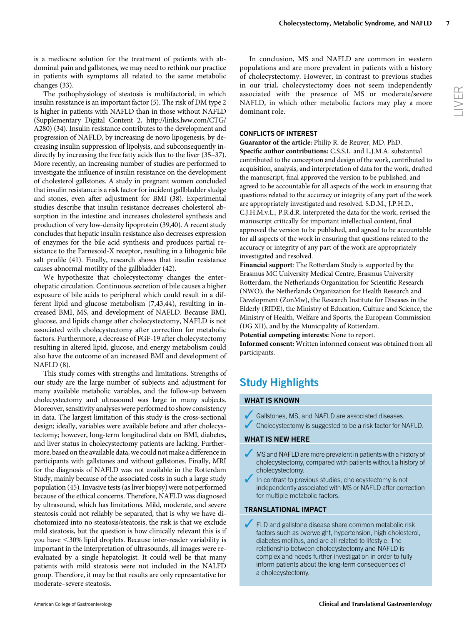LIVER

is a mediocre solution for the treatment of patients with abdominal pain and gallstones, we may need to rethink our practice in patients with symptoms all related to the same metabolic changes (33).

The pathophysiology of steatosis is multifactorial, in which insulin resistance is an important factor (5). The risk of DM type 2 is higher in patients with NAFLD than in those without NAFLD (Supplementary Digital Content 2, [http://links.lww.com/CTG/](http://links.lww.com/CTG/A280) [A280](http://links.lww.com/CTG/A280)) (34). Insulin resistance contributes to the development and progression of NAFLD, by increasing de novo lipogenesis, by decreasing insulin suppression of lipolysis, and subconsequently indirectly by increasing the free fatty acids flux to the liver (35–37). More recently, an increasing number of studies are performed to investigate the influence of insulin resistance on the development of cholesterol gallstones. A study in pregnant women concluded that insulin resistance is a risk factor for incident gallbladder sludge and stones, even after adjustment for BMI (38). Experimental studies describe that insulin resistance decreases cholesterol absorption in the intestine and increases cholesterol synthesis and production of very low-density lipoprotein (39,40). A recent study concludes that hepatic insulin resistance also decreases expression of enzymes for the bile acid synthesis and produces partial resistance to the Farnesoid-X receptor, resulting in a lithogenic bile salt profile (41). Finally, research shows that insulin resistance causes abnormal motility of the gallbladder (42).

We hypothesize that cholecystectomy changes the enterohepatic circulation. Continuous secretion of bile causes a higher exposure of bile acids to peripheral which could result in a different lipid and glucose metabolism (7,43,44), resulting in increased BMI, MS, and development of NAFLD. Because BMI, glucose, and lipids change after cholecystectomy, NAFLD is not associated with cholecystectomy after correction for metabolic factors. Furthermore, a decrease of FGF-19 after cholecystectomy resulting in altered lipid, glucose, and energy metabolism could also have the outcome of an increased BMI and development of NAFLD (8).

This study comes with strengths and limitations. Strengths of our study are the large number of subjects and adjustment for many available metabolic variables, and the follow-up between cholecystectomy and ultrasound was large in many subjects. Moreover, sensitivity analyses were performed to show consistency in data. The largest limitation of this study is the cross-sectional design; ideally, variables were available before and after cholecystectomy; however, long-term longitudinal data on BMI, diabetes, and liver status in cholecystectomy patients are lacking. Furthermore, based on the available data, we could not make a difference in participants with gallstones and without gallstones. Finally, MRI for the diagnosis of NAFLD was not available in the Rotterdam Study, mainly because of the associated costs in such a large study population (45). Invasive tests (as liver biopsy) were not performed because of the ethical concerns. Therefore, NAFLD was diagnosed by ultrasound, which has limitations. Mild, moderate, and severe steatosis could not reliably be separated, that is why we have dichotomized into no steatosis/steatosis, the risk is that we exclude mild steatosis, but the question is how clinically relevant this is if you have <30% lipid droplets. Because inter-reader variability is important in the interpretation of ultrasounds, all images were reevaluated by a single hepatologist. It could well be that many patients with mild steatosis were not included in the NALFD group. Therefore, it may be that results are only representative for moderate–severe steatosis.

In conclusion, MS and NAFLD are common in western populations and are more prevalent in patients with a history of cholecystectomy. However, in contrast to previous studies in our trial, cholecystectomy does not seem independently associated with the presence of MS or moderate/severe NAFLD, in which other metabolic factors may play a more dominant role.

# CONFLICTS OF INTEREST

Guarantor of the article: Philip R. de Reuver, MD, PhD. Specific author contributions: C.S.S.L. and L.J.M.A. substantial contributed to the conception and design of the work, contributed to acquisition, analysis, and interpretation of data for the work, drafted the manuscript, final approved the version to be published, and agreed to be accountable for all aspects of the work in ensuring that questions related to the accuracy or integrity of any part of the work are appropriately investigated and resolved. S.D.M., J.P.H.D., C.J.H.M.v.L., P.R.d.R. interpreted the data for the work, revised the manuscript critically for important intellectual content, final approved the version to be published, and agreed to be accountable for all aspects of the work in ensuring that questions related to the accuracy or integrity of any part of the work are appropriately investigated and resolved.

Financial support: The Rotterdam Study is supported by the Erasmus MC University Medical Centre, Erasmus University Rotterdam, the Netherlands Organization for Scientific Research (NWO), the Netherlands Organization for Health Research and Development (ZonMw), the Research Institute for Diseases in the Elderly (RIDE), the Ministry of Education, Culture and Science, the Ministry of Health, Welfare and Sports, the European Commission (DG XII), and by the Municipality of Rotterdam.

Potential competing interests: None to report.

Informed consent: Written informed consent was obtained from all participants.

# Study Highlights

# WHAT IS KNOWN

- Gallstones, MS, and NAFLD are associated diseases.
- $\blacktriangleright$  Cholecystectomy is suggested to be a risk factor for NAFLD.

# WHAT IS NEW HERE

- MS and NAFLD are more prevalent in patients with a history of cholecystectomy, compared with patients without a history of cholecystectomy.
- In contrast to previous studies, cholecystectomy is not independently associated with MS or NAFLD after correction for multiple metabolic factors.

# TRANSLATIONAL IMPACT

FLD and gallstone disease share common metabolic risk factors such as overweight, hypertension, high cholesterol, diabetes mellitus, and are all related to lifestyle. The relationship between cholecystectomy and NAFLD is complex and needs further investigation in order to fully inform patients about the long-term consequences of a cholecystectomy.